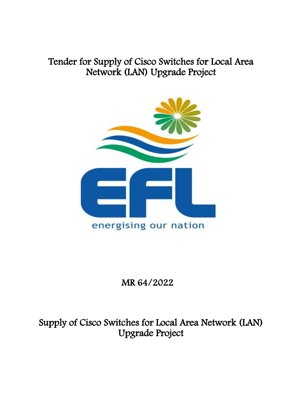# Tender for Supply of Cisco Switches for Local Area Network (LAN) Upgrade Project



# MR 64/2022

Supply of Cisco Switches for Local Area Network (LAN) Upgrade Project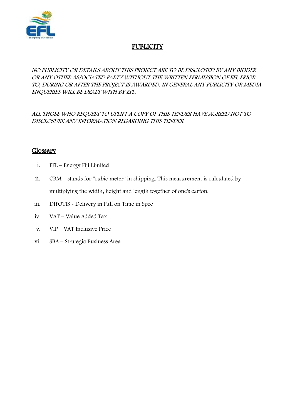

## **PUBLICITY**

#### NO PUBLICITY OR DETAILS ABOUT THIS PROJECT ARE TO BE DISCLOSED BY ANY BIDDER OR ANY OTHER ASSOCIATED PARTY WITHOUT THE WRITTEN PERMISSION OF EFL PRIOR TO, DURING OR AFTER THE PROJECT IS AWARDED. IN GENERAL ANY PUBLICITY OR MEDIA ENQUERIES WILL BE DEALT WITH BY EFL.

ALL THOSE WHO REQUEST TO UPLIFT A COPY OF THIS TENDER HAVE AGREED NOT TO DISCLOSURE ANY INFORMATION REGARDING THIS TENDER.

## Glossary

- i. EFL Energy Fiji Limited
- ii. CBM stands for "cubic meter" in shipping. This measurement is calculated by multiplying the width, height and length together of one's carton.
- iii. DIFOTIS Delivery in Full on Time in Spec
- iv. VAT Value Added Tax
- v. VIP VAT Inclusive Price
- vi. SBA Strategic Business Area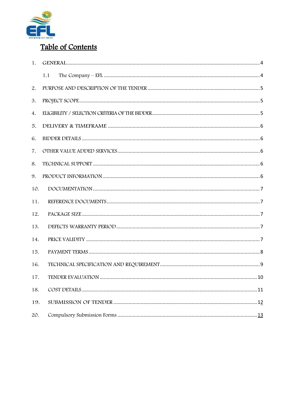

## Table of Contents

| 1.  |     |
|-----|-----|
|     | 1.1 |
| 2.  |     |
| 3.  |     |
| 4.  |     |
| 5.  |     |
| 6.  |     |
| 7.  |     |
| 8.  |     |
| 9.  |     |
| 10. |     |
| 11. |     |
| 12. |     |
| 13. |     |
| 14. |     |
| 15. |     |
| 16. |     |
| 17. |     |
| 18. |     |
| 19. |     |
| 20. |     |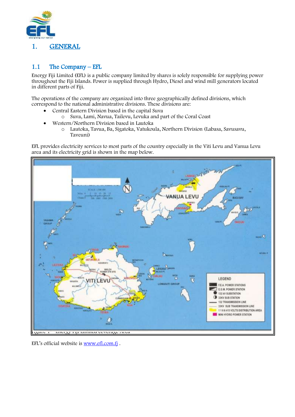

## <span id="page-3-1"></span><span id="page-3-0"></span>1.1 The Company – EFL

Energy Fiji Limited (EFL) is a public company limited by shares is solely responsible for supplying power throughout the Fiji Islands. Power is supplied through Hydro, Diesel and wind mill generators located in different parts of Fiji.

The operations of the company are organized into three geographically defined divisions, which correspond to the national administrative divisions. These divisions are:

- Central Eastern Division based in the capital Suva
	- o Suva, Lami, Navua, Tailevu, Levuka and part of the Coral Coast
- Western/Northern Division based in Lautoka
	- o Lautoka, Tavua, Ba, Sigatoka, Vatukoula, Northern Division (Labasa, Savusavu, Taveuni)

EFL provides electricity services to most parts of the country especially in the Viti Levu and Vanua Levu area and its electricity grid is shown in the map below.



EFL's official website is [www.efl.com.fj](http://www.efl.com.fj/) .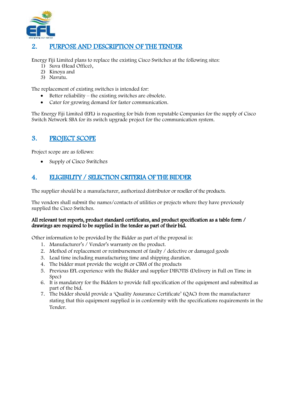

## <span id="page-4-0"></span>2. PURPOSE AND DESCRIPTION OF THE TENDER

Energy Fiji Limited plans to replace the existing Cisco Switches at the following sites:

- 1) Suva (Head Office),
- 2) Kinoya and
- 3) Navutu.

The replacement of existing switches is intended for:

- $\bullet$  Better reliability the existing switches are obsolete.
- Cater for growing demand for faster communication.

The Energy Fiji Limited (EFL) is requesting for bids from reputable Companies for the supply of Cisco Switch Network SBA for its switch upgrade project for the communication system.

## <span id="page-4-1"></span>3. PROJECT SCOPE

Project scope are as follows:

• Supply of Cisco Switches

## <span id="page-4-2"></span>4. ELIGIBILITY / SELECTION CRITERIA OF THE BIDDER

The supplier should be a manufacturer, authorized distributor or reseller of the products.

The vendors shall submit the names/contacts of utilities or projects where they have previously supplied the Cisco Switches.

#### All relevant test reports, product standard certificates, and product specification as a table form / drawings are required to be supplied in the tender as part of their bid.

Other information to be provided by the Bidder as part of the proposal is:

- 1. Manufacturer's / Vendor's warranty on the product.
- 2. Method of replacement or reimbursement of faulty / defective or damaged goods
- 3. Lead time including manufacturing time and shipping duration.
- 4. The bidder must provide the weight or CBM of the products
- 5. Previous EFL experience with the Bidder and supplier DIFOTIS (Delivery in Full on Time in Spec)
- 6. It is mandatory for the Bidders to provide full specification of the equipment and submitted as part of the bid.
- 7. The bidder should provide a 'Quality Assurance Certificate' (QAC) from the manufacturer stating that this equipment supplied is in conformity with the specifications requirements in the Tender.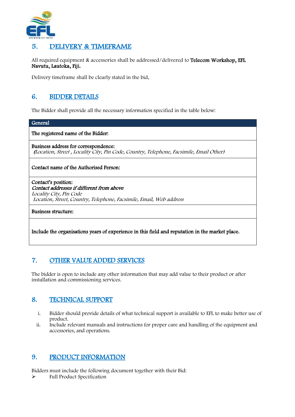

## <span id="page-5-0"></span>5. DELIVERY & TIMEFRAME

All required equipment & accessories shall be addressed/delivered to Telecom Workshop, EFL Navutu, Lautoka, Fiji.

Delivery timeframe shall be clearly stated in the bid.

## <span id="page-5-1"></span>6. BIDDER DETAILS

The Bidder shall provide all the necessary information specified in the table below:

#### General

The registered name of the Bidder:

Business address for correspondence: (Location, Street , Locality City, Pin Code, Country, Telephone, Facsimile, Email Other)

#### Contact name of the Authorised Person:

Contact's position: Contact addresses if different from above Locality City, Pin Code Location, Street, Country, Telephone, Facsimile, Email, Web address

Business structure:

Include the organisations years of experience in this field and reputation in the market place.

## <span id="page-5-2"></span>7. OTHER VALUE ADDED SERVICES

The bidder is open to include any other information that may add value to their product or after installation and commissioning services.

#### <span id="page-5-3"></span>8. TECHNICAL SUPPORT

- i. Bidder should provide details of what technical support is available to EFL to make better use of product.
- ii. Include relevant manuals and instructions for proper care and handling of the equipment and accessories, and operations.

#### <span id="page-5-4"></span>9. PRODUCT INFORMATION

Bidders must include the following document together with their Bid:

 $\blacktriangleright$  Full Product Specification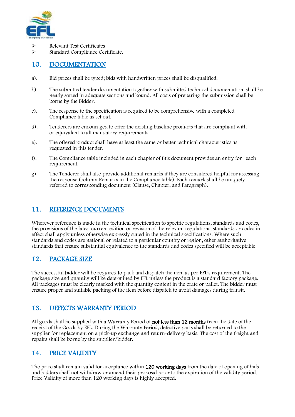

- Relevant Test Certificates
- Standard Compliance Certificate.

#### <span id="page-6-0"></span>10. DOCUMENTATION

- a). Bid prices shall be typed; bids with handwritten prices shall be disqualified.
- b). The submitted tender documentation together with submitted technical documentation shall be neatly sorted in adequate sections and bound. All costs of preparing the submission shall be borne by the Bidder.
- c). The response to the specification is required to be comprehensive with a completed Compliance table as set out.
- d). Tenderers are encouraged to offer the existing baseline products that are compliant with or equivalent to all mandatory requirements.
- e). The offered product shall have at least the same or better technical characteristics as requested in this tender.
- f). The Compliance table included in each chapter of this document provides an entry for each requirement.
- g). The Tenderer shall also provide additional remarks if they are considered helpful for assessing the response (column Remarks in the Compliance table). Each remark shall be uniquely referred to corresponding document (Clause, Chapter, and Paragraph).

### <span id="page-6-1"></span>11. REFERENCE DOCUMENTS

Wherever reference is made in the technical specification to specific regulations, standards and codes, the provisions of the latest current edition or revision of the relevant regulations, standards or codes in effect shall apply unless otherwise expressly stated in the technical specifications. Where such standards and codes are national or related to a particular country or region, other authoritative standards that ensure substantial equivalence to the standards and codes specified will be acceptable.

## <span id="page-6-2"></span>12. PACKAGE SIZE

The successful bidder will be required to pack and dispatch the item as per EFL's requirement. The package size and quantity will be determined by EFL unless the product is a standard factory package. All packages must be clearly marked with the quantity content in the crate or pallet. The bidder must ensure proper and suitable packing of the item before dispatch to avoid damages during transit.

#### <span id="page-6-3"></span>13. DEFECTS WARRANTY PERIOD

All goods shall be supplied with a Warranty Period of **not less than 12 months** from the date of the receipt of the Goods by EFL. During the Warranty Period, defective parts shall be returned to the supplier for replacement on a pick-up exchange and return-delivery basis. The cost of the freight and repairs shall be borne by the supplier/bidder.

## <span id="page-6-4"></span>14. PRICE VALIDITY

The price shall remain valid for acceptance within 120 working days from the date of opening of bids and bidders shall not withdraw or amend their proposal prior to the expiration of the validity period. Price Validity of more than 120 working days is highly accepted.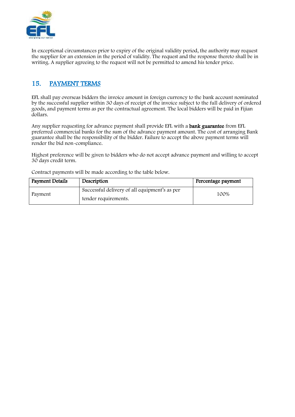

In exceptional circumstances prior to expiry of the original validity period, the authority may request the supplier for an extension in the period of validity. The request and the response thereto shall be in writing. A supplier agreeing to the request will not be permitted to amend his tender price.

## <span id="page-7-0"></span>15. PAYMENT TERMS

EFL shall pay overseas bidders the invoice amount in foreign currency to the bank account nominated by the successful supplier within 30 days of receipt of the invoice subject to the full delivery of ordered goods, and payment terms as per the contractual agreement. The local bidders will be paid in Fijian dollars.

Any supplier requesting for advance payment shall provide EFL with a **bank guarantee** from EFL preferred commercial banks for the sum of the advance payment amount. The cost of arranging Bank guarantee shall be the responsibility of the bidder. Failure to accept the above payment terms will render the bid non-compliance.

Highest preference will be given to bidders who do not accept advance payment and willing to accept 30 days credit term.

Contract payments will be made according to the table below.

| <b>Payment Details</b> | Description                                                           | Percentage payment |
|------------------------|-----------------------------------------------------------------------|--------------------|
| Payment                | Successful delivery of all equipment's as per<br>tender requirements. | 100%               |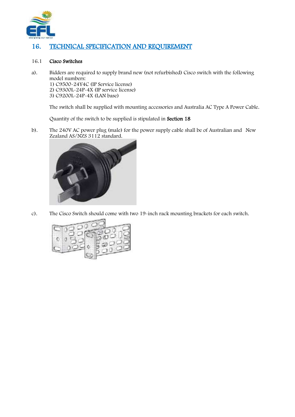

## <span id="page-8-0"></span>16. TECHNICAL SPECIFICATION AND REQUIREMENT

#### 16.1 Cisco Switches

a). Bidders are required to supply brand new (not refurbished) Cisco switch with the following model numbers: 1) C9500-24Y4C (IP Service license) 2) C9300L-24P-4X (IP service license) 3) C9200L-24P-4X (LAN base)

The switch shall be supplied with mounting accessories and Australia AC Type A Power Cable.

Quantity of the switch to be supplied is stipulated in Section 18

b). The 240V AC power plug (male) for the power supply cable shall be of Australian and New Zealand AS/NZS 3112 standard.



c). The Cisco Switch should come with two 19-inch rack mounting brackets for each switch.

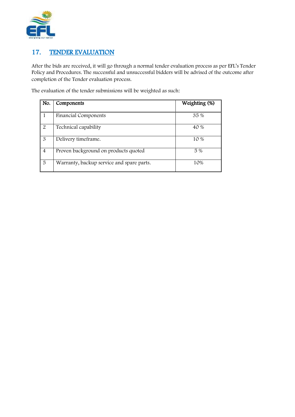

## <span id="page-9-0"></span>17. TENDER EVALUATION

After the bids are received, it will go through a normal tender evaluation process as per EFL's Tender Policy and Procedures. The successful and unsuccessful bidders will be advised of the outcome after completion of the Tender evaluation process.

The evaluation of the tender submissions will be weighted as such:

| No.            | Components                                | Weighting (%) |
|----------------|-------------------------------------------|---------------|
|                |                                           |               |
|                | <b>Financial Components</b>               | 35 %          |
| 2              | Technical capability                      | 40 %          |
| 3              | Delivery timeframe.                       | 10 %          |
| $\overline{4}$ | Proven background on products quoted      | 5 %           |
| 5              | Warranty, backup service and spare parts. | 10%           |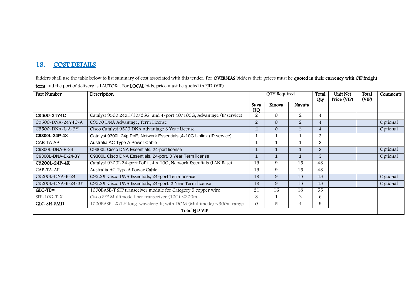## 18. COST DETAILS

Bidders shall use the table below to list summary of cost associated with this tender. For OVERSEAS bidders their prices must be quoted in their currency with CIF freight term and the port of delivery is LAUTOKa. For LOCAL bids, price must be quoted in FJD (VIP)

<span id="page-10-0"></span>

| Part Number        | Description                                                            | Total<br>QTY Required<br>Unit Net |          | Total          | Comments       |             |       |          |
|--------------------|------------------------------------------------------------------------|-----------------------------------|----------|----------------|----------------|-------------|-------|----------|
|                    |                                                                        | Suva<br>HQ                        | Kinoya   | Navutu         | Qty            | Price (VIP) | (VIP) |          |
| C9500~24Y4C        | Catalyst 9500 24x1/10/25G and 4-port 40/100G, Advantage (IP service)   | 2                                 | 0        | 2              | 4              |             |       |          |
| C9500-DNA-24Y4C-A  | C9500 DNA Advantage, Term License                                      | $\overline{2}$                    | 0        | $\overline{2}$ | 4              |             |       | Optional |
| C9500-DNA-L-A-3Y   | Cisco Catalyst 9500 DNA Advantage 3 Year License                       | $\overline{2}$                    | $\Omega$ | $\overline{2}$ | $\overline{4}$ |             |       | Optional |
| C9300L-24P-4X      | Catalyst 9300L 24p PoE, Network Essentials , 4x10G Uplink (IP service) |                                   |          |                | 3              |             |       |          |
| CAB-TA-AP          | Australia AC Type A Power Cable                                        |                                   |          |                | 3              |             |       |          |
| C9300L-DNA-E-24    | C9300L Cisco DNA Essentials, 24-port license                           |                                   |          |                | 3              |             |       | Optional |
| C9300L-DNA-E-24-3Y | C9300L Cisco DNA Essentials, 24-port, 3 Year Term license              |                                   |          |                | 3              |             |       | Optional |
| C9200L~24P~4X      | Catalyst 9200L 24-port PoE+, 4 x 10G, Network Essentials (LAN Base)    | 19                                | 9        | 15             | 43             |             |       |          |
| $CAB-TA-AP$        | Australia AC Type A Power Cable                                        | 19                                | 9        | 15             | 43             |             |       |          |
| C9200L-DNA-E-24    | C9200L Cisco DNA Essentials, 24-port Term license                      | 19                                | 9        | 15             | 43             |             |       | Optional |
| C9200L-DNA-E-24-3Y | C9200L Cisco DNA Essentials, 24-port, 3 Year Term license              | 19                                | 9        | 15             | 43             |             |       | Optional |
| $GLC-TE=$          | 1000BASE-T SFP transceiver module for Category 5 copper wire           | 21                                | 16       | 18             | 55             |             |       |          |
| $SFP-10G-T-X$      | Cisco SFP Multimode fiber transceiver (10G) <300m                      | 3                                 |          | $\overline{2}$ | 6              |             |       |          |
| GLC-SH-SMD         | 1000BASE-LX/LH long-wavelength; with DOM (Multimode) <300m range       | $\circ$                           | 5        | 4              | 9              |             |       |          |
| Total FJD VIP      |                                                                        |                                   |          |                |                |             |       |          |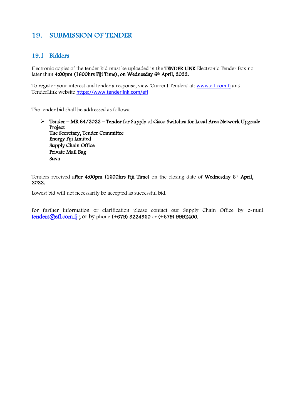## <span id="page-11-0"></span>19. SUBMISSION OF TENDER

#### 19.1 Bidders

Electronic copies of the tender bid must be uploaded in the TENDER LINK Electronic Tender Box no later than 4:00pm (1600hrs Fiji Time), on Wednesday 6th April, 2022.

To register your interest and tender a response, view 'Current Tenders' at: <u>www.efl.com.f</u>j and TenderLink website <https://www.tenderlink.com/efl>

The tender bid shall be addressed as follows:

 Tender – MR 64/2022 – Tender for Supply of Cisco Switches for Local Area Network Upgrade Project The Secretary, Tender Committee Energy Fiji Limited Supply Chain Office Private Mail Bag Suva

Tenders received after 4:00pm (1600hrs Fiji Time) on the closing date of Wednesday 6<sup>th</sup> April, 2022.

Lowest bid will not necessarily be accepted as successful bid.

For further information or clarification please contact our Supply Chain Office by e-mail [tenders@efl.com.fj](mailto:tenders@efl.com.fj) ; or by phone (+679) 3224360 or (+679) 9992400.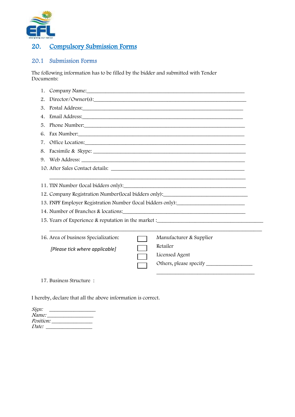

## <span id="page-12-0"></span>20. Compulsory Submission Forms

#### 20.1 Submission Forms

The following information has to be filled by the bidder and submitted with Tender Documents:

| 1.                                                              | Company Name: 1988 and 2008 and 2008 and 2008 and 2008 and 2008 and 2008 and 2008 and 2008 and 2008 and 2008 and 2008 and 2008 and 2008 and 2008 and 2008 and 2008 and 2008 and 2008 and 2008 and 2008 and 2008 and 2008 and 2 |  |  |  |  |
|-----------------------------------------------------------------|--------------------------------------------------------------------------------------------------------------------------------------------------------------------------------------------------------------------------------|--|--|--|--|
| 2.                                                              | Director/Owner(s):                                                                                                                                                                                                             |  |  |  |  |
| 3.                                                              | Postal Address: North American Contract of Address:                                                                                                                                                                            |  |  |  |  |
| 4.                                                              |                                                                                                                                                                                                                                |  |  |  |  |
| 5.                                                              | Phone Number.                                                                                                                                                                                                                  |  |  |  |  |
| 6.                                                              |                                                                                                                                                                                                                                |  |  |  |  |
| 7.                                                              |                                                                                                                                                                                                                                |  |  |  |  |
| 8.                                                              | Facsimile & Skype:                                                                                                                                                                                                             |  |  |  |  |
|                                                                 | 9. Web Address:                                                                                                                                                                                                                |  |  |  |  |
|                                                                 |                                                                                                                                                                                                                                |  |  |  |  |
|                                                                 |                                                                                                                                                                                                                                |  |  |  |  |
|                                                                 | 11. TIN Number (local bidders only):                                                                                                                                                                                           |  |  |  |  |
|                                                                 | 12. Company Registration Number(local bidders only):                                                                                                                                                                           |  |  |  |  |
|                                                                 | 13. FNPF Employer Registration Number (local bidders only): ____________________                                                                                                                                               |  |  |  |  |
|                                                                 | 14. Number of Branches & locations:                                                                                                                                                                                            |  |  |  |  |
|                                                                 | 15. Years of Experience & reputation in the market :____________________________                                                                                                                                               |  |  |  |  |
|                                                                 |                                                                                                                                                                                                                                |  |  |  |  |
| 16. Area of business Specialization:<br>Manufacturer & Supplier |                                                                                                                                                                                                                                |  |  |  |  |
|                                                                 | Retailer<br>[Please tick where applicable]                                                                                                                                                                                     |  |  |  |  |
|                                                                 | Licensed Agent                                                                                                                                                                                                                 |  |  |  |  |
|                                                                 |                                                                                                                                                                                                                                |  |  |  |  |
|                                                                 |                                                                                                                                                                                                                                |  |  |  |  |
|                                                                 | 17. Business Structure:                                                                                                                                                                                                        |  |  |  |  |

I hereby, declare that all the above information is correct.

| Sign:        |  |  |
|--------------|--|--|
| <i>Name:</i> |  |  |
| Position:    |  |  |
| Date:        |  |  |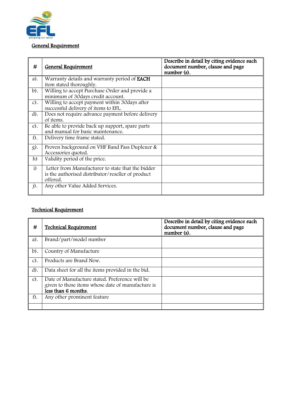

#### General Requirement

| #              | <b>General Requirement</b>                                                                                         | Describe in detail by citing evidence such<br>document number, clause and page<br>number (s). |
|----------------|--------------------------------------------------------------------------------------------------------------------|-----------------------------------------------------------------------------------------------|
| a).            | Warranty details and warranty period of <b>EACH</b><br>item stated thoroughly.                                     |                                                                                               |
| $b$ ).         | Willing to accept Purchase Order and provide a<br>minimum of 30days credit account.                                |                                                                                               |
| $c$ ).         | Willing to accept payment within 30 days after<br>successful delivery of items to EFL.                             |                                                                                               |
| $d$ ).         | Does not require advance payment before delivery<br>of items.                                                      |                                                                                               |
| $e$ ).         | Be able to provide back up support, spare parts<br>and manual for basic maintenance.                               |                                                                                               |
| $f$ .          | Delivery time frame stated.                                                                                        |                                                                                               |
| g).            | Proven background on VHF Band Pass Duplexer &<br>Accessories quoted.                                               |                                                                                               |
| h)             | Validity period of the price.                                                                                      |                                                                                               |
| i)             | Letter from Manufacturer to state that the bidder<br>is the authorised distributor/reseller of product<br>offered. |                                                                                               |
| $\mathbf{j}$ . | Any other Value Added Services.                                                                                    |                                                                                               |

### Technical Requirement

| #      | <b>Technical Requirement</b>                                                                                               | Describe in detail by citing evidence such<br>document number, clause and page<br>number (s). |
|--------|----------------------------------------------------------------------------------------------------------------------------|-----------------------------------------------------------------------------------------------|
| $a$ ). | Brand/part/model number                                                                                                    |                                                                                               |
| $b$ ). | Country of Manufacture                                                                                                     |                                                                                               |
| $c$ ). | Products are Brand New.                                                                                                    |                                                                                               |
| $d$ ). | Data sheet for all the items provided in the bid.                                                                          |                                                                                               |
| $e$ ). | Date of Manufacture stated. Preference will be<br>given to those items whose date of manufacture is<br>less than 6 months. |                                                                                               |
| f).    | Any other prominent feature                                                                                                |                                                                                               |
|        |                                                                                                                            |                                                                                               |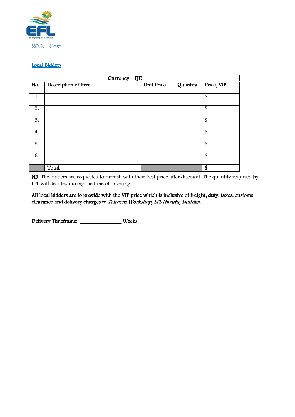

#### Local Bidders

|     | Currency: FJD       |                   |          |                          |  |
|-----|---------------------|-------------------|----------|--------------------------|--|
| No. | Description of Item | <b>Unit Price</b> | Quantity | Price, VIP               |  |
|     |                     |                   |          |                          |  |
| 1.  |                     |                   |          | \$                       |  |
|     |                     |                   |          |                          |  |
| 2.  |                     |                   |          | \$                       |  |
|     |                     |                   |          |                          |  |
| 3.  |                     |                   |          | \$                       |  |
|     |                     |                   |          |                          |  |
| 4.  |                     |                   |          | \$                       |  |
|     |                     |                   |          |                          |  |
| 5.  |                     |                   |          | $\overline{\mathcal{S}}$ |  |
|     |                     |                   |          |                          |  |
| 6.  |                     |                   |          | \$                       |  |
|     |                     |                   |          |                          |  |
|     | Total               |                   |          | \$                       |  |

NB: The bidders are requested to furnish with their best price after discount. The quantity required by EFL will decided during the time of ordering.

All local bidders are to provide with the VIP price which is inclusive of freight, duty, taxes, customs clearance and delivery charges to Telecom Workshop, EFL Navutu, Lautoka.

Delivery Timeframe: \_\_\_\_\_\_\_\_\_\_\_\_\_\_\_ Weeks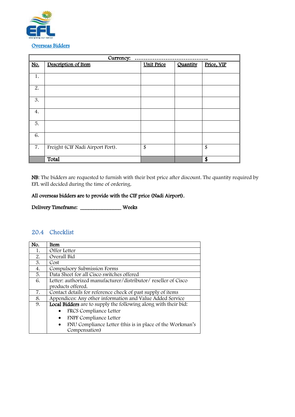

|                  | Currency:<br>                    |                   |          |            |  |
|------------------|----------------------------------|-------------------|----------|------------|--|
| No.              | Description of Item              | <b>Unit Price</b> | Quantity | Price, VIP |  |
|                  |                                  |                   |          |            |  |
| 1.               |                                  |                   |          |            |  |
|                  |                                  |                   |          |            |  |
| 2.               |                                  |                   |          |            |  |
|                  |                                  |                   |          |            |  |
| 3.               |                                  |                   |          |            |  |
|                  |                                  |                   |          |            |  |
| 4.               |                                  |                   |          |            |  |
|                  |                                  |                   |          |            |  |
| 5.               |                                  |                   |          |            |  |
|                  |                                  |                   |          |            |  |
| 6.               |                                  |                   |          |            |  |
|                  |                                  |                   |          |            |  |
| $\overline{7}$ . | Freight (CIF Nadi Airport Port). | \$                |          | \$         |  |
|                  |                                  |                   |          |            |  |
|                  | Total                            |                   |          | S          |  |

NB: The bidders are requested to furnish with their best price after discount. The quantity required by EFL will decided during the time of ordering.

#### All overseas bidders are to provide with the CIF price (Nadi Airport).

Delivery Timeframe: \_\_\_\_\_\_\_\_\_\_\_\_\_\_\_ Weeks

## 20.4 Checklist

| No. | Item                                                                  |
|-----|-----------------------------------------------------------------------|
| 1.  | Offer Letter                                                          |
| 2.  | Overall Bid                                                           |
| 3.  | Cost                                                                  |
| 4.  | Compulsory Submission Forms                                           |
| 5.  | Data Sheet for all Cisco switches offered                             |
| 6.  | Letter: authorized manufacturer/distributor/ reseller of Cisco        |
|     | products offered.                                                     |
| 7.  | Contact details for reference check of past supply of items           |
| 8.  | Appendices: Any other information and Value Added Service             |
| 9.  | Local Bidders are to supply the following along with their bid:       |
|     | FRCS Compliance Letter                                                |
|     | <b>FNPF Compliance Letter</b><br>٠                                    |
|     | FNU Compliance Letter (this is in place of the Workman's<br>$\bullet$ |
|     | Compensation)                                                         |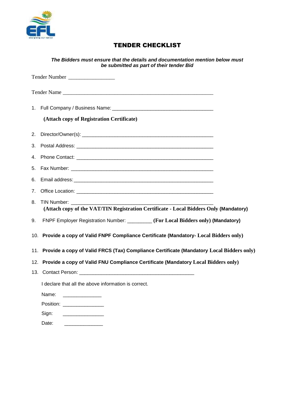

## TENDER CHECKLIST

|    | The Bidders must ensure that the details and documentation mention below must<br>be submitted as part of their tender Bid |
|----|---------------------------------------------------------------------------------------------------------------------------|
|    | Tender Number                                                                                                             |
|    | Tender Name                                                                                                               |
|    |                                                                                                                           |
|    | (Attach copy of Registration Certificate)                                                                                 |
| 2. |                                                                                                                           |
| 3. |                                                                                                                           |
| 4. |                                                                                                                           |
| 5. |                                                                                                                           |
| 6. |                                                                                                                           |
| 7. |                                                                                                                           |
| 8. | TIN Number:<br>(Attach copy of the VAT/TIN Registration Certificate - Local Bidders Only (Mandatory)                      |
| 9. | FNPF Employer Registration Number: ________ (For Local Bidders only) (Mandatory)                                          |
|    | 10. Provide a copy of Valid FNPF Compliance Certificate (Mandatory- Local Bidders only)                                   |
|    | 11. Provide a copy of Valid FRCS (Tax) Compliance Certificate (Mandatory Local Bidders only)                              |
|    | 12. Provide a copy of Valid FNU Compliance Certificate (Mandatory Local Bidders only)                                     |
|    |                                                                                                                           |
|    | I declare that all the above information is correct.                                                                      |
|    | Name:                                                                                                                     |
|    | Position: __________________                                                                                              |
|    | Sign:                                                                                                                     |

Date: \_\_\_\_\_\_\_\_\_\_\_\_\_\_